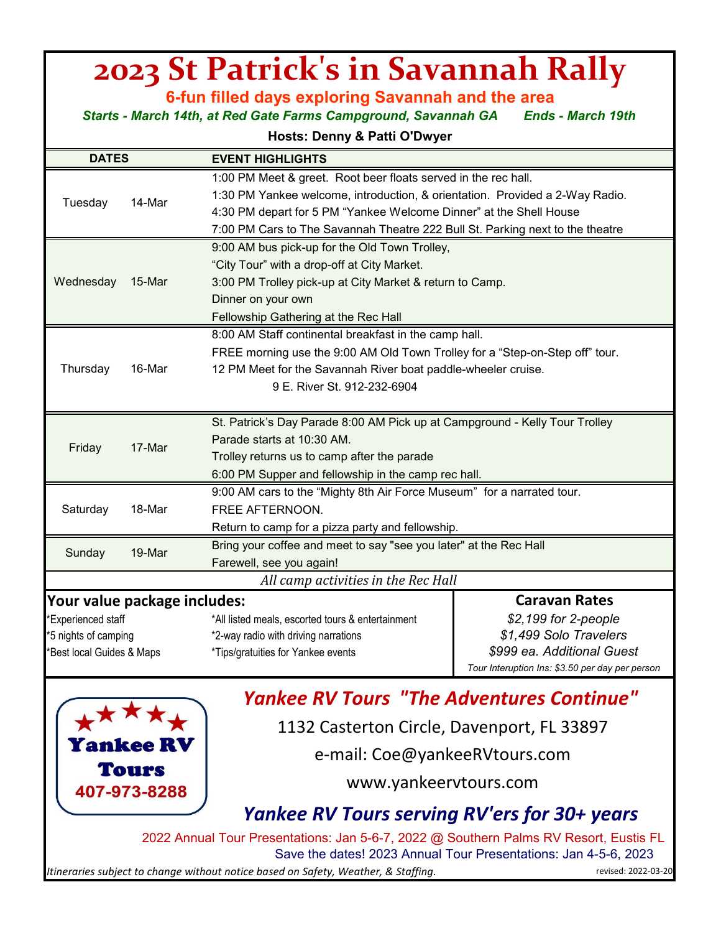## **EVENT HIGHLIGHTS** 1:00 PM Meet & greet. Root beer floats served in the rec hall. 1:30 PM Yankee welcome, introduction, & orientation. Provided a 2-Way Radio. 4:30 PM depart for 5 PM "Yankee Welcome Dinner" at the Shell House 7:00 PM Cars to The Savannah Theatre 222 Bull St. Parking next to the theatre 9:00 AM bus pick-up for the Old Town Trolley, "City Tour" with a drop-off at City Market. 3:00 PM Trolley pick-up at City Market & return to Camp. Dinner on your own Fellowship Gathering at the Rec Hall 8:00 AM Staff continental breakfast in the camp hall. FREE morning use the 9:00 AM Old Town Trolley for a "Step-on-Step off" tour. 12 PM Meet for the Savannah River boat paddle-wheeler cruise. 9 E. River St. 912-232-6904 St. Patrick's Day Parade 8:00 AM Pick up at Campground - Kelly Tour Trolley Parade starts at 10:30 AM. Trolley returns us to camp after the parade 6:00 PM Supper and fellowship in the camp rec hall. 9:00 AM cars to the "Mighty 8th Air Force Museum" for a narrated tour. FREE AFTERNOON. Return to camp for a pizza party and fellowship. Bring your coffee and meet to say "see you later" at the Rec Hall Farewell, see you again! **Your value package includes:** \*Experienced staff \*All listed meals, escorted tours & entertainment \*5 nights of camping \*2-way radio with driving narrations \*Best local Guides & Maps \*Tips/gratuities for Yankee events *Tour Interuption Ins: \$3.50 per day per person \$999 ea. Additional Guest* **2023 St Patrick's in Savannah Rally Caravan Rates** *\$2,199 for 2-people \$1,499 Solo Travelers All camp activities in the Rec Hall* **6-fun filled days exploring Savannah and the area** *Starts - March 14th, at Red Gate Farms Campground, Savannah GA Ends - March 19th* **Hosts: Denny & Patti O'Dwyer DATES** Tuesday 14-Mar Wednesday 15-Mar Sunday *Yankee RV Tours "The Adventures Continue"*  19-Mar Thursday 16-Mar Friday 17-Mar Saturday 18-Mar

**Yankee RV** Tours 407-973-8288

1132 Casterton Circle, Davenport, FL 33897

e-mail: Coe@yankeeRVtours.com

[www.yankeervtours.com](http://www.yankeervtours.com/)

## *Yankee RV Tours serving RV'ers for 30+ years*

2022 Annual Tour Presentations: Jan 5-6-7, 2022 @ Southern Palms RV Resort, Eustis FL

Save the dates! 2023 Annual Tour Presentations: Jan 4-5-6, 2023

*Itineraries subject to change without notice based on Safety, Weather, & Staffing.* revised: 2022-03-20